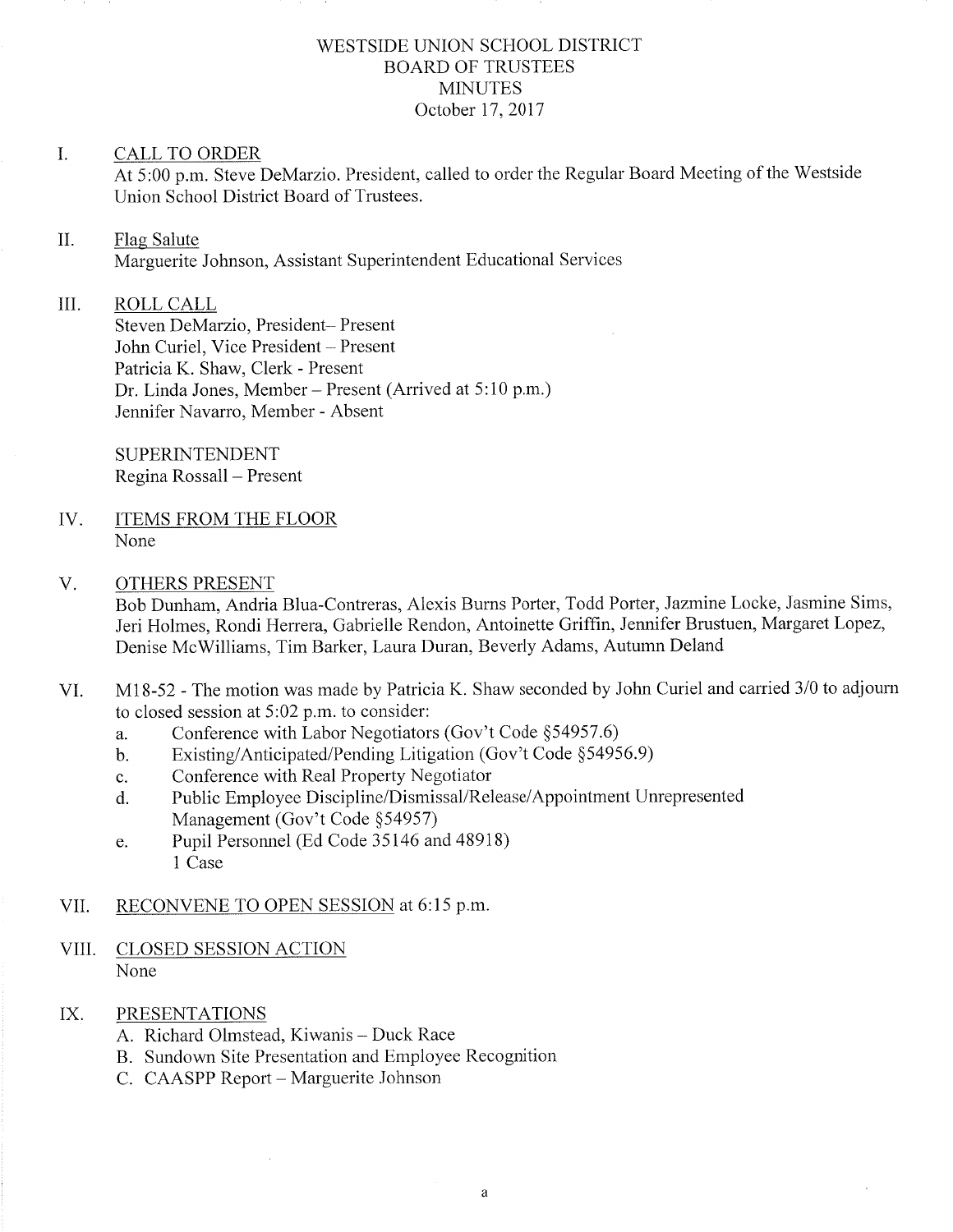# WESTSIDE UNION SCHOOL DISTRICT BOARD OF TRUSTEES **MINUTES** October 17, 2017

### I. CALL TO ORDER

At 5:00 p.m. Steve DeMarzio. President, called to order the Regular Board Meeting of the 'Westside Union School District Board of Trustees.

#### il. Flag Salute

Marguerite Johnson, Assistant Superintendent Educational Services

#### III ROLL CALL

Steven DeMarzio, President- Present John Curiel, Vice President - Present Patricia K. Shaw, Clerk - Present Dr. Linda Jones, Member – Present (Arrived at 5:10 p.m.) Jennifer Navarro, Member - Absent

SUPERINTENDENT Regina Rossall - Present

ITEMS FROM THE FLOOR None IV

#### OTHERS PRESENT V.

Bob Dunham, Andria Blua-Contreras, Alexis Burns Porter, Todd Porter, Jazmine Locke, Jasmine Sims, Jeri Holmes, Rondi Herrera, Gabrielle Rendon, Antoinette Griffin, Jennifer Brustuen, Margaret Lopez, Denise McWilliams, Tim Barker, Laura Duran, Beverly Adams, Autumn Deland

- VI. Ml8-52 The motion was made by Patricia K. Shaw seconded by John Curiel and carried 310 to adjourn to closed session at  $5:02$  p.m. to consider:
	- a. Conference with Labor Negotiators (Gov't Code §54957.6)<br>b. Existing/Anticipated/Pending Litigation (Gov't Code §54956.9)
	-
	- c. Conference with Real Property Negotiator
	- d. Public Employee Discipline/Dismissal/Release/Appointment Unrepresented Management (Gov't Code \$54957)
	- e. Pupil Personnel (Ed Code 35146 and 48918) 1 Case

### VII. RECONVENE TO OPEN SESSION at 6:15 p.m.

- VIII. CLOSED SESSION ACTION None
- IX. PRESENTATIONS
	- A. Richard Olmstead, Kiwanis Duck Race
	- B. Sundown Site Presentation and Employee Recognition
	- C. CAASPP Report Marguerite Johnson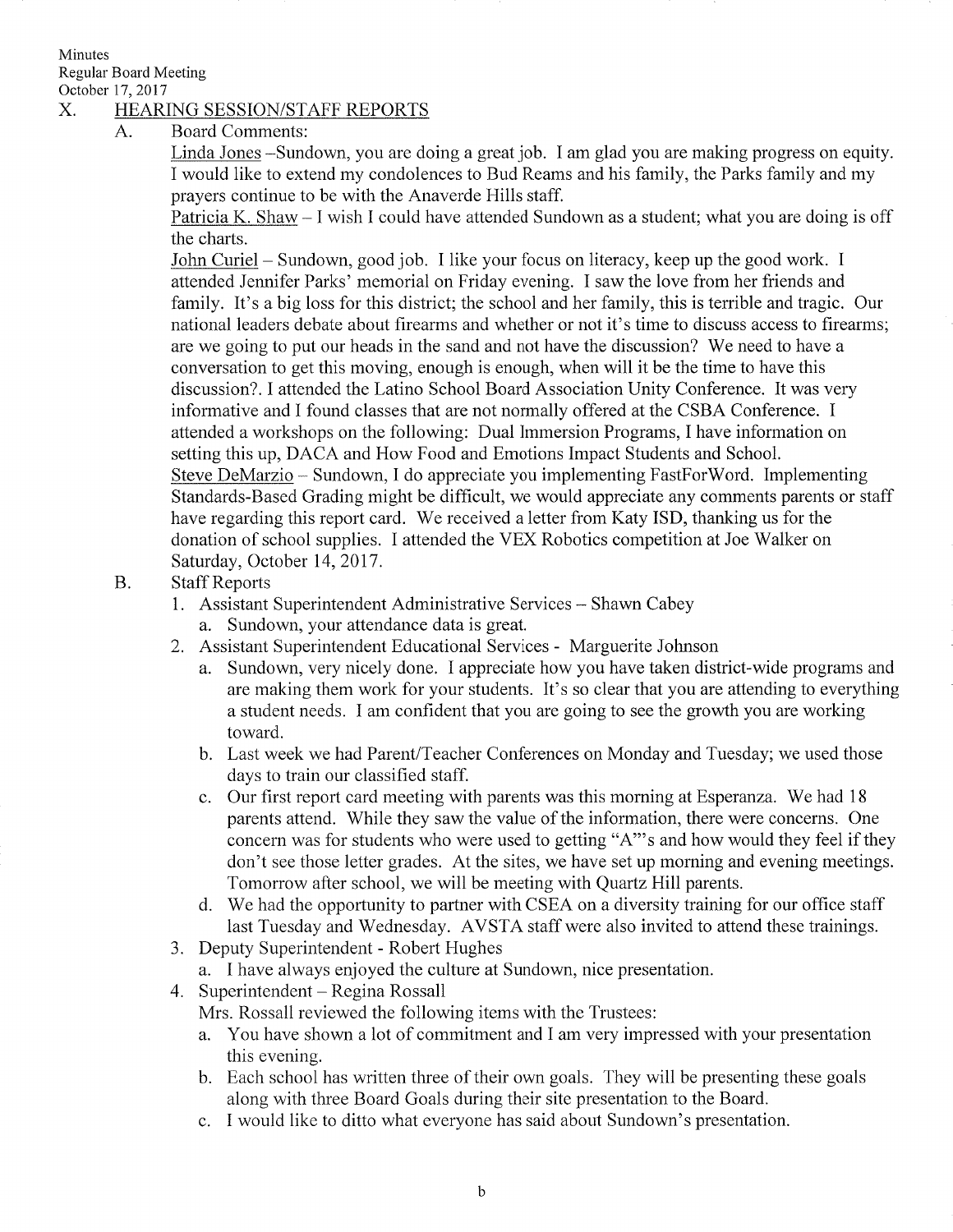Minutes Regular Board Meeting October 17, 2017

## X. HEARING SESSION/STAFF REPORTS

A. Board Comments:

Linda Jones -Sundown, you are doing a great job. I am glad you are making progress on equity. I would like to extend my condolences to Bud Reams and his family, the Parks family and my prayers continue to be with the Anaverde Hills staff.

Patricia K. Shaw - I wish I could have attended Sundown as a student; what you are doing is off the charts.

John Curiel - Sundown, good job. I like your focus on literacy, keep up the good work. <sup>I</sup> attended Jennifer Parks' memorial on Friday evening. I saw the love from her friends and family. It's a big loss for this district; the school and her family, this is terrible and tragic. Our national leaders debate about firearms and whether or not it's time to discuss access to firearms; are we going to put our heads in the sand and not have the discussion? We need to have a conversation to get this moving, enough is enough, when will it be the time to have this discussion?. I attended the Latino School Board Association Unity Conference. It was very informative and I found classes that are not normally offered at the CSBA Conference. I attended a workshops on the following: Dual Immersion Programs, I have information on setting this up, DACA and How Food and Emotions Impact Students and School. Steve DeMarzio - <sup>S</sup>undown, I do appreciate you implementing FastFor'Word. Implementing Standards-Based Grading might be difficult, we would appreciate any comments parents or staff have regarding this report card. We received a letter from Katy ISD, thanking us for the donation of school supplies. I attended the VEX Robotics competition at Joe Walker on Saturday, October 14, 2017.

- B Staff Reports
	- 1. Assistant Superintendent Administrative Services Shawn Cabey
		- a. Sundown, your attendance data is great.
	- 2. Assistant Superintendent Educational Services Marguerite Johnson
		- a. Sundown, very nicely done. I appreciate how you have taken district-wide programs and are making them work for your students. It's so clear that you are attending to everything a student needs. I am confident that you are going to see the growth you are working toward.
		- b. Last week we had Parent/Teacher Conferences on Monday and Tuesday; we used those days to train our classified staff.
		- c. Our first report card meeting with parents was this morning af Esperanza. We had <sup>18</sup> parents attend. While they saw the value of the information, there were concerns. One concern was for students who were used to getting "4"'s and how would they feel if they don't see those letter grades. At the sites, we have set up morning and evening meetings. Tomorrow after school, we will be meeting with Quartz Hill parents.<br>d. We had the opportunity to partner with CSEA on a diversity training for our office staff
		- last Tuesday and Wednesday. AVSTA staff were also invited to attend these trainings.
	- 3. Deputy Superintendent Robert Hughes
		- a. I have always enjoyed the culture at Sundown, nice presentation.
	- 4. Superintendent Regina Rossall

Mrs. Rossall reviewed the following items with the Trustees:

- a. You have shown a lot of commitment and I am very impressed with your presentation this evening.
- b. Each school has written three of their own goals. They will be presenting these goals along with three Board Goals during their site presentation to the Board.
- e. I would like to ditto what everyone has said about Sundown's presentation.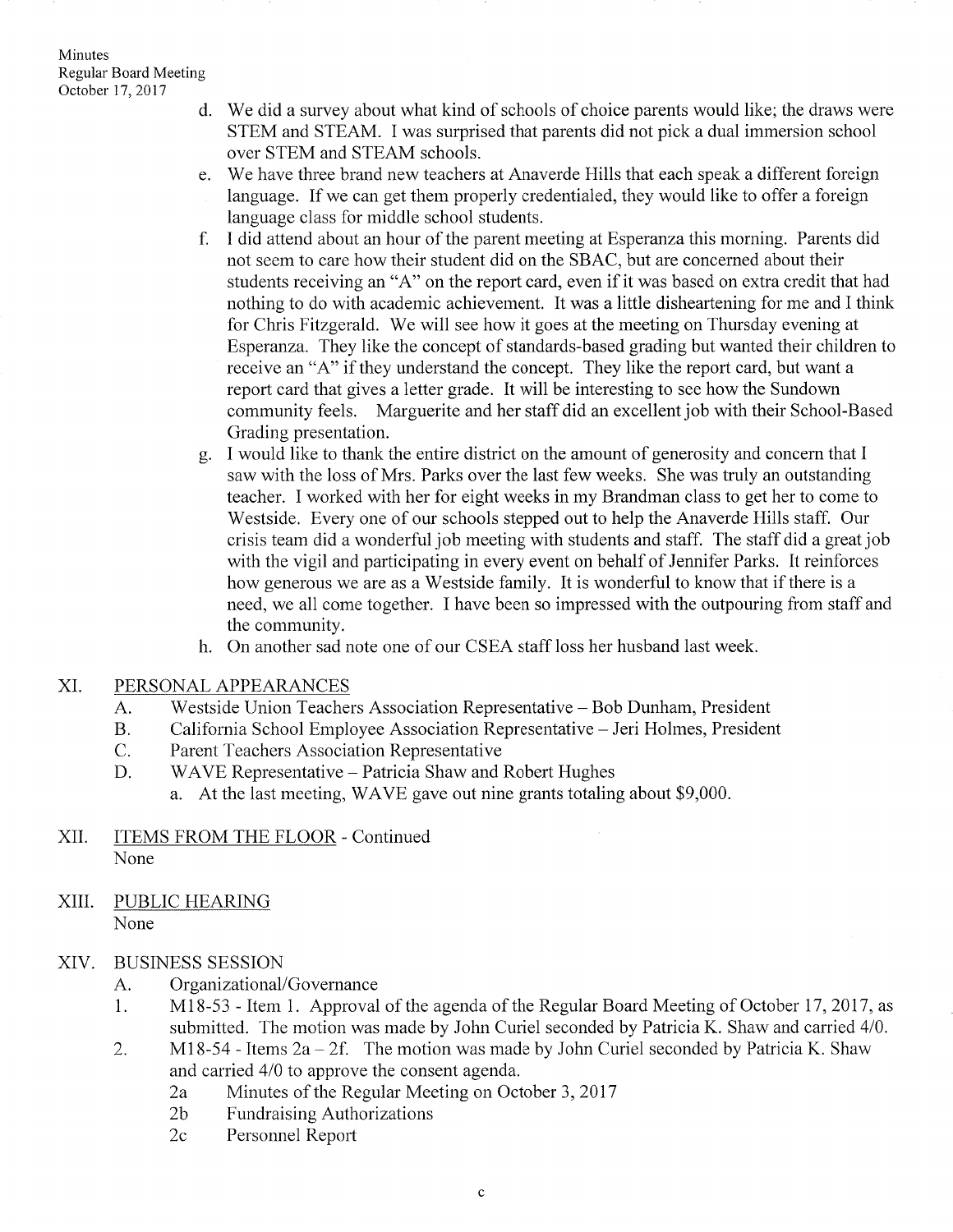- d. We did a survey about what kind of schools of choice parents would like; the draws were STEM and STEAM. I was surprised that parents did not pick a dual immersion school over STEM and STEAM schools.
- We have three brand new teachers at Anaverde Hills that each speak a different foreign e language. If we can get them properly credentialed, they would like to offer a foreign language class for middle school students.
- f. I did attend about an hour of the parent meeting at Esperanza this morning. Parents did not seem to care how their student did on the SBAC, but are concerned about their students receiving an "A" on the report card, even if it was based on extra credit that had nothing to do with academic achievement. It was a little disheartening for me and I think for Chris Fitzgerald. We will see how it goes at the meeting on Thursday evening at Esperanza. They like the concept of standards-based grading but wanted their children to receive an "A" if they understand the concept. They like the report card, but want a report card that gives a letter grade. It will be interesting to see how the Sundown community feels. Marguerite and her staff did an excellent job with their School-Based Grading presentation.
- I would like to thank the entire district on the amount of generosity and concern that I saw with the loss of Mrs. Parks over the last few weeks. She was truly an outstanding teacher. I worked with her for eight weeks in my Brandman class to get her to come to Westside. Every one of our schools stepped out to help the Anaverde Hills staff. Our crisis team did a wonderful job meeting with students and staff. The staff did a great job with the vigil and participating in every event on behalf of Jennifer Parks. It reinforces how generous we are as a Westside family. It is wonderful to know that if there is a need, we all come together. I have been so impressed with the outpouring from staff and the community.  $g_{\cdot}$
- h. On another sad note one of our CSEA staff loss her husband last week.
- XI. PERSONAL APPEARANCES
	- Westside Union Teachers Association Representative Bob Dunham, President A.
	- California School Employee Association Representative Jeri Holmes, President B.
	- Parent Teachers Association Representative  $C_{\cdot}$
	- WAVE Representative Patricia Shaw and Robert Hughes D.
		- a. At the last meeting, WAVE gave out nine grants totaling about \$9,000.
- XII. ITEMS FROM THE FLOOR Continued None
- XIII. PUBLIC HEARING None

### BUSINESS SESSION XIV

- 
- A. Organizational/Governance<br>1. M18-53 Item 1. Approval of the agenda of the Regular Board Meeting of October 17, 2017, as<br>submitted. The motion was made by John Curiel seconded by Patricia K. Shaw and carried 4/0.
- 2. M18-54 Items  $2a 2f$ . The motion was made by John Curiel seconded by Patricia K. Shaw and carried 410 to approve the consent agenda.
	- 2a Minutes of the Regular Meeting on October 3, 2017<br>2b Fundraising Authorizations
	-
	- 2c Personnel Report